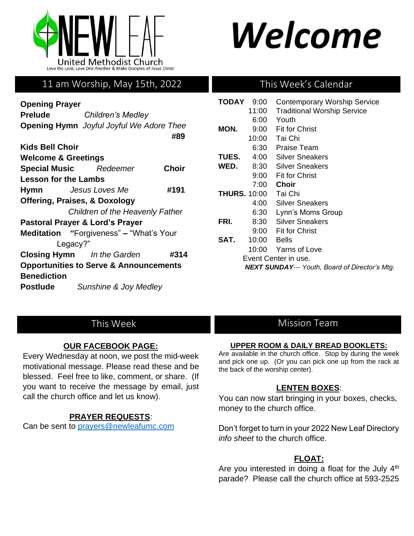

# Welcome

# 11 am Worship, May 15th, 2022

| <b>Opening Prayer</b>           | TODA                                                        |              |             |  |  |
|---------------------------------|-------------------------------------------------------------|--------------|-------------|--|--|
| <b>Prelude</b>                  | Children's Medley                                           |              |             |  |  |
|                                 | <b>Opening Hymn</b> Joyful Joyful We Adore Thee             | #89          | MON.        |  |  |
| <b>Kids Bell Choir</b>          |                                                             |              |             |  |  |
| <b>Welcome &amp; Greetings</b>  | <b>TUES</b>                                                 |              |             |  |  |
|                                 | <b>Special Music</b> Redeemer                               | <b>Choir</b> | WED.        |  |  |
| <b>Lesson for the Lambs</b>     |                                                             |              |             |  |  |
|                                 | #191<br><b>Hymn</b> Jesus Loves Me                          |              | <b>THUR</b> |  |  |
|                                 | <b>Offering, Praises, &amp; Doxology</b>                    |              |             |  |  |
|                                 | Children of the Heavenly Father                             |              |             |  |  |
| Pastoral Prayer & Lord's Prayer |                                                             |              |             |  |  |
|                                 | Meditation "Forgiveness" - "What's Your<br>SAT.<br>Legacy?" |              |             |  |  |
|                                 | <b>Closing Hymn</b> In the Garden                           | #314         |             |  |  |
|                                 | <b>Opportunities to Serve &amp; Announcements</b>           |              |             |  |  |
| <b>Benediction</b>              |                                                             |              |             |  |  |
| Postlude                        | Sunshine & Joy Medley                                       |              |             |  |  |

## This Week's Calendar

| <b>TODAY</b>                                          | 9:00  | <b>Contemporary Worship Service</b> |  |  |
|-------------------------------------------------------|-------|-------------------------------------|--|--|
|                                                       | 11:00 | <b>Traditional Worship Service</b>  |  |  |
|                                                       | 6:00  | Youth                               |  |  |
| MON.                                                  | 9:00  | <b>Fit for Christ</b>               |  |  |
|                                                       | 10:00 | Tai Chi                             |  |  |
|                                                       | 6:30  | <b>Praise Team</b>                  |  |  |
| <b>TUES.</b>                                          | 4:00  | Silver Sneakers                     |  |  |
| WED.                                                  | 8:30  | Silver Sneakers                     |  |  |
|                                                       | 9:00  | <b>Fit for Christ</b>               |  |  |
|                                                       | 7:00  | Choir                               |  |  |
| <b>THURS. 10:00</b>                                   |       | Tai Chi                             |  |  |
|                                                       | 4:00  | Silver Sneakers                     |  |  |
|                                                       | 6:30  | Lynn's Moms Group                   |  |  |
| FRI.                                                  |       | 8:30 Silver Sneakers                |  |  |
|                                                       |       | 9:00 Fit for Christ                 |  |  |
| SAT.                                                  | 10:00 | <b>Bells</b>                        |  |  |
|                                                       |       | 10:00 Yarns of Love                 |  |  |
| Event Center in use.                                  |       |                                     |  |  |
| <b>NEXT SUNDAY--- Youth, Board of Director's Mtg.</b> |       |                                     |  |  |

# This Week

## **OUR FACEBOOK PAGE:**

Every Wednesday at noon, we post the mid-week motivational message. Please read these and be blessed. Feel free to like, comment, or share. (If you want to receive the message by email, just call the church office and let us know).

## **PRAYER REQUESTS**:

Can be sent to [prayers@newleafumc.com](mailto:prayers@newleafumc.com)

## Mission Team

#### **UPPER ROOM & DAILY BREAD BOOKLETS:**

Are available in the church office. Stop by during the week and pick one up. (Or you can pick one up from the rack at the back of the worship center).

## **LENTEN BOXES**:

You can now start bringing in your boxes, checks, money to the church office.

Don't forget to turn in your 2022 New Leaf Directory *info sheet* to the church office.

## **FLOAT:**

Are you interested in doing a float for the July 4<sup>th</sup> parade? Please call the church office at 593-2525